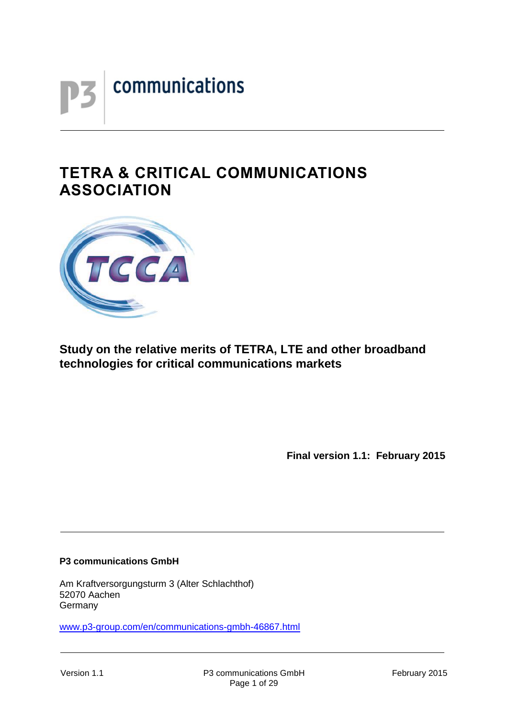

# **TETRA & CRITICAL COMMUNICATIONS ASSOCIATION**



# **Study on the relative merits of TETRA, LTE and other broadband technologies for critical communications markets**

**Final version 1.1: February 2015**

#### **P3 communications GmbH**

Am Kraftversorgungsturm 3 (Alter Schlachthof) 52070 Aachen Germany

[www.p3-group.com/en/communications-gmbh-46867.html](http://www.p3-group.com/en/communications-gmbh-46867.html)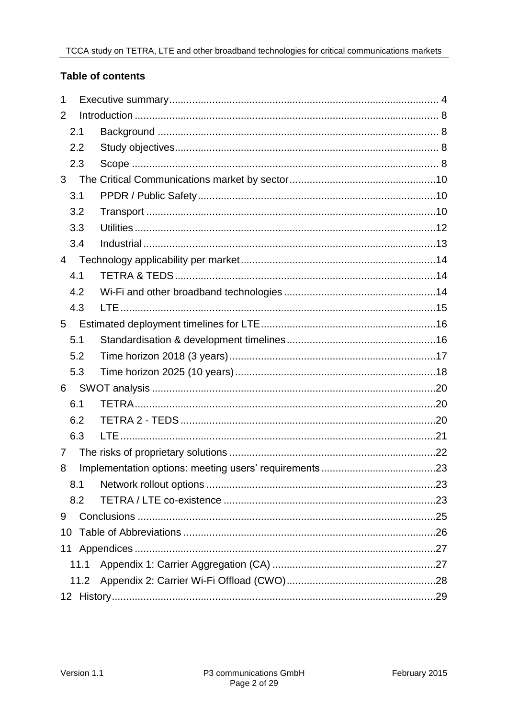## **Table of contents**

| 1    |      |  |
|------|------|--|
| 2    |      |  |
| 2.1  |      |  |
| 2.2  |      |  |
| 2.3  |      |  |
| 3    |      |  |
| 3.1  |      |  |
| 3.2  |      |  |
| 3.3  |      |  |
| 3.4  |      |  |
| 4    |      |  |
| 4.1  |      |  |
| 4.2  |      |  |
| 4.3  |      |  |
| 5    |      |  |
| 5.1  |      |  |
| 5.2  |      |  |
| 5.3  |      |  |
| 6    |      |  |
| 6.1  |      |  |
| 6.2  |      |  |
| 6.3  |      |  |
| 7    |      |  |
| 8    |      |  |
| 8.1  |      |  |
| 8.2  |      |  |
| 9    |      |  |
| 10   |      |  |
|      |      |  |
| 11.1 |      |  |
|      | 11.2 |  |
|      |      |  |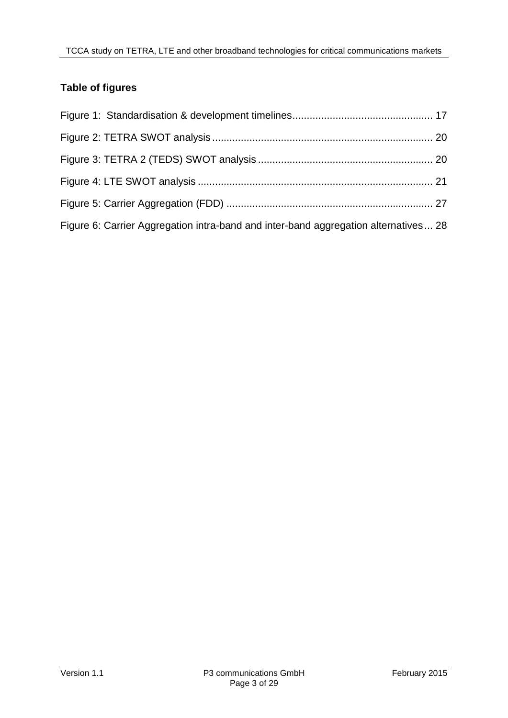# **Table of figures**

| Figure 6: Carrier Aggregation intra-band and inter-band aggregation alternatives 28 |  |
|-------------------------------------------------------------------------------------|--|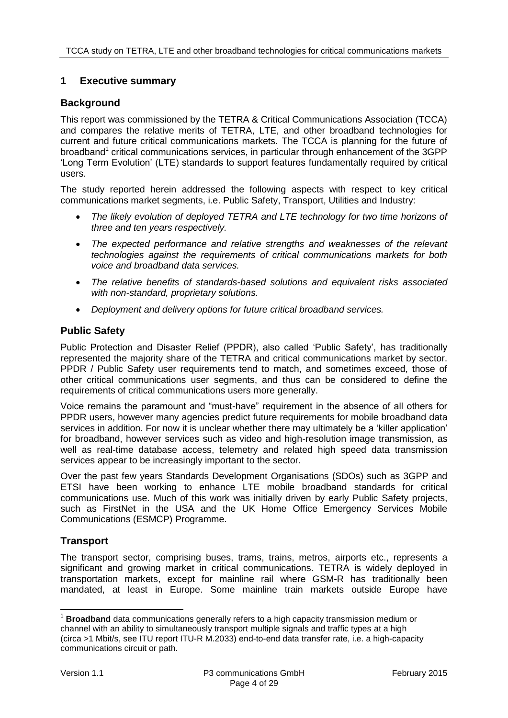### **1 Executive summary**

#### **Background**

This report was commissioned by the TETRA & Critical Communications Association (TCCA) and compares the relative merits of TETRA, LTE, and other broadband technologies for current and future critical communications markets. The TCCA is planning for the future of broadband<sup>1</sup> critical communications services, in particular through enhancement of the 3GPP 'Long Term Evolution' (LTE) standards to support features fundamentally required by critical users.

The study reported herein addressed the following aspects with respect to key critical communications market segments, i.e. Public Safety, Transport, Utilities and Industry:

- *The likely evolution of deployed TETRA and LTE technology for two time horizons of three and ten years respectively.*
- The expected performance and relative strengths and weaknesses of the relevant *technologies against the requirements of critical communications markets for both voice and broadband data services.*
- *The relative benefits of standards-based solutions and equivalent risks associated with non-standard, proprietary solutions.*
- *Deployment and delivery options for future critical broadband services.*

#### **Public Safety**

Public Protection and Disaster Relief (PPDR), also called 'Public Safety', has traditionally represented the majority share of the TETRA and critical communications market by sector. PPDR / Public Safety user requirements tend to match, and sometimes exceed, those of other critical communications user segments, and thus can be considered to define the requirements of critical communications users more generally.

Voice remains the paramount and "must-have" requirement in the absence of all others for PPDR users, however many agencies predict future requirements for mobile broadband data services in addition. For now it is unclear whether there may ultimately be a 'killer application' for broadband, however services such as video and high-resolution image transmission, as well as real-time database access, telemetry and related high speed data transmission services appear to be increasingly important to the sector.

Over the past few years Standards Development Organisations (SDOs) such as 3GPP and ETSI have been working to enhance LTE mobile broadband standards for critical communications use. Much of this work was initially driven by early Public Safety projects, such as FirstNet in the USA and the UK Home Office Emergency Services Mobile Communications (ESMCP) Programme.

## **Transport**

The transport sector, comprising buses, trams, trains, metros, airports etc., represents a significant and growing market in critical communications. TETRA is widely deployed in transportation markets, except for mainline rail where GSM-R has traditionally been mandated, at least in Europe. Some mainline train markets outside Europe have

 $\overline{a}$ 

<sup>1</sup> **Broadband** data communications generally refers to a high capacity transmission medium or channel with an ability to simultaneously transport multiple signals and traffic types at a high (circa >1 Mbit/s, see ITU report ITU-R M.2033) end-to-end data transfer rate, i.e. a high-capacity communications circuit or path.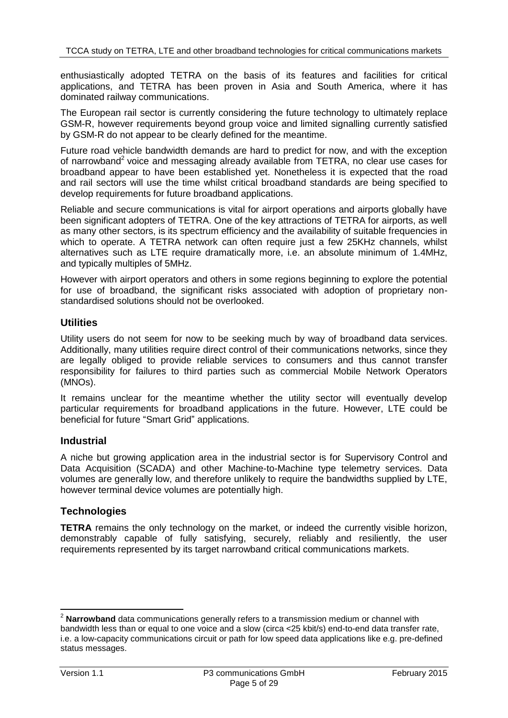enthusiastically adopted TETRA on the basis of its features and facilities for critical applications, and TETRA has been proven in Asia and South America, where it has dominated railway communications.

The European rail sector is currently considering the future technology to ultimately replace GSM-R, however requirements beyond group voice and limited signalling currently satisfied by GSM-R do not appear to be clearly defined for the meantime.

Future road vehicle bandwidth demands are hard to predict for now, and with the exception of narrowband<sup>2</sup> voice and messaging already available from TETRA, no clear use cases for broadband appear to have been established yet. Nonetheless it is expected that the road and rail sectors will use the time whilst critical broadband standards are being specified to develop requirements for future broadband applications.

Reliable and secure communications is vital for airport operations and airports globally have been significant adopters of TETRA. One of the key attractions of TETRA for airports, as well as many other sectors, is its spectrum efficiency and the availability of suitable frequencies in which to operate. A TETRA network can often require just a few 25KHz channels, whilst alternatives such as LTE require dramatically more, i.e. an absolute minimum of 1.4MHz, and typically multiples of 5MHz.

However with airport operators and others in some regions beginning to explore the potential for use of broadband, the significant risks associated with adoption of proprietary nonstandardised solutions should not be overlooked.

### **Utilities**

Utility users do not seem for now to be seeking much by way of broadband data services. Additionally, many utilities require direct control of their communications networks, since they are legally obliged to provide reliable services to consumers and thus cannot transfer responsibility for failures to third parties such as commercial Mobile Network Operators (MNOs).

It remains unclear for the meantime whether the utility sector will eventually develop particular requirements for broadband applications in the future. However, LTE could be beneficial for future "Smart Grid" applications.

#### **Industrial**

A niche but growing application area in the industrial sector is for Supervisory Control and Data Acquisition (SCADA) and other Machine-to-Machine type telemetry services. Data volumes are generally low, and therefore unlikely to require the bandwidths supplied by LTE, however terminal device volumes are potentially high.

#### **Technologies**

**TETRA** remains the only technology on the market, or indeed the currently visible horizon, demonstrably capable of fully satisfying, securely, reliably and resiliently, the user requirements represented by its target narrowband critical communications markets.

 $\overline{a}$ 

<sup>2</sup> **Narrowband** data communications generally refers to a transmission medium or channel with bandwidth less than or equal to one voice and a slow (circa <25 kbit/s) end-to-end data transfer rate, i.e. a low-capacity communications circuit or path for low speed data applications like e.g. pre-defined status messages.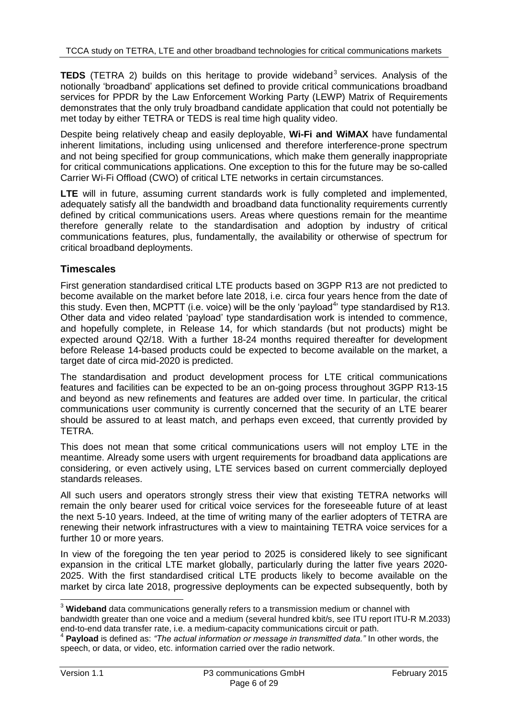**TEDS** (TETRA 2) builds on this heritage to provide wideband<sup>3</sup> services. Analysis of the notionally 'broadband' applications set defined to provide critical communications broadband services for PPDR by the Law Enforcement Working Party (LEWP) Matrix of Requirements demonstrates that the only truly broadband candidate application that could not potentially be met today by either TETRA or TEDS is real time high quality video.

Despite being relatively cheap and easily deployable, **Wi-Fi and WiMAX** have fundamental inherent limitations, including using unlicensed and therefore interference-prone spectrum and not being specified for group communications, which make them generally inappropriate for critical communications applications. One exception to this for the future may be so-called Carrier Wi-Fi Offload (CWO) of critical LTE networks in certain circumstances.

**LTE** will in future, assuming current standards work is fully completed and implemented, adequately satisfy all the bandwidth and broadband data functionality requirements currently defined by critical communications users. Areas where questions remain for the meantime therefore generally relate to the standardisation and adoption by industry of critical communications features, plus, fundamentally, the availability or otherwise of spectrum for critical broadband deployments.

## **Timescales**

First generation standardised critical LTE products based on 3GPP R13 are not predicted to become available on the market before late 2018, i.e. circa four years hence from the date of this study. Even then, MCPTT (i.e. voice) will be the only 'payload<sup>4</sup>' type standardised by R13. Other data and video related 'payload' type standardisation work is intended to commence, and hopefully complete, in Release 14, for which standards (but not products) might be expected around Q2/18. With a further 18-24 months required thereafter for development before Release 14-based products could be expected to become available on the market, a target date of circa mid-2020 is predicted.

The standardisation and product development process for LTE critical communications features and facilities can be expected to be an on-going process throughout 3GPP R13-15 and beyond as new refinements and features are added over time. In particular, the critical communications user community is currently concerned that the security of an LTE bearer should be assured to at least match, and perhaps even exceed, that currently provided by TETRA.

This does not mean that some critical communications users will not employ LTE in the meantime. Already some users with urgent requirements for broadband data applications are considering, or even actively using, LTE services based on current commercially deployed standards releases.

All such users and operators strongly stress their view that existing TETRA networks will remain the only bearer used for critical voice services for the foreseeable future of at least the next 5-10 years. Indeed, at the time of writing many of the earlier adopters of TETRA are renewing their network infrastructures with a view to maintaining TETRA voice services for a further 10 or more years.

In view of the foregoing the ten year period to 2025 is considered likely to see significant expansion in the critical LTE market globally, particularly during the latter five years 2020- 2025. With the first standardised critical LTE products likely to become available on the market by circa late 2018, progressive deployments can be expected subsequently, both by

 $\overline{a}$ 

<sup>3</sup> **Wideband** data communications generally refers to a transmission medium or channel with

bandwidth greater than one voice and a medium (several hundred kbit/s, see ITU report ITU-R M.2033) end-to-end data transfer rate, i.e. a medium-capacity communications circuit or path.

<sup>4</sup> **Payload** is defined as: *"The actual information or message in transmitted data."* In other words, the speech, or data, or video, etc. information carried over the radio network.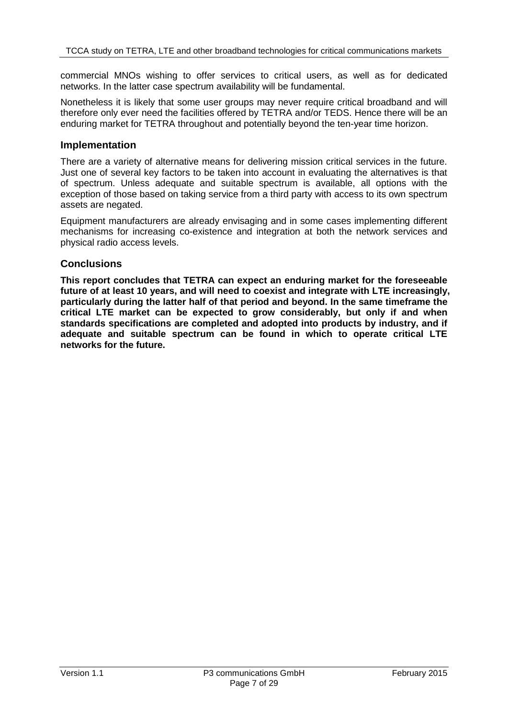commercial MNOs wishing to offer services to critical users, as well as for dedicated networks. In the latter case spectrum availability will be fundamental.

Nonetheless it is likely that some user groups may never require critical broadband and will therefore only ever need the facilities offered by TETRA and/or TEDS. Hence there will be an enduring market for TETRA throughout and potentially beyond the ten-year time horizon.

#### **Implementation**

There are a variety of alternative means for delivering mission critical services in the future. Just one of several key factors to be taken into account in evaluating the alternatives is that of spectrum. Unless adequate and suitable spectrum is available, all options with the exception of those based on taking service from a third party with access to its own spectrum assets are negated.

Equipment manufacturers are already envisaging and in some cases implementing different mechanisms for increasing co-existence and integration at both the network services and physical radio access levels.

#### **Conclusions**

**This report concludes that TETRA can expect an enduring market for the foreseeable future of at least 10 years, and will need to coexist and integrate with LTE increasingly, particularly during the latter half of that period and beyond. In the same timeframe the critical LTE market can be expected to grow considerably, but only if and when standards specifications are completed and adopted into products by industry, and if adequate and suitable spectrum can be found in which to operate critical LTE networks for the future.**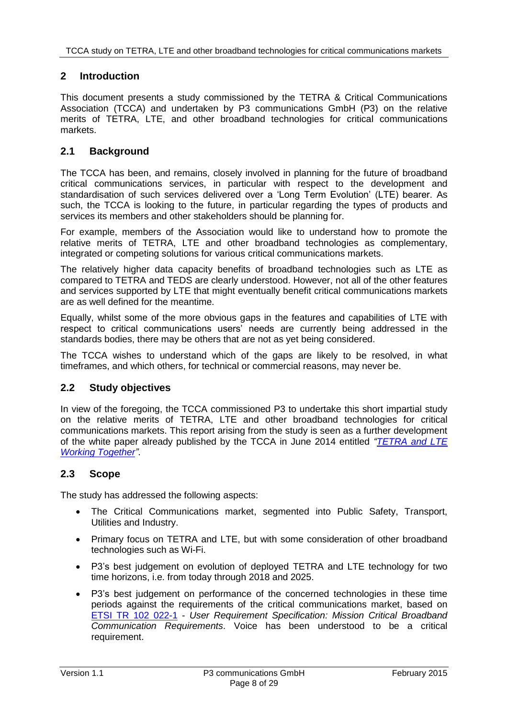#### **2 Introduction**

This document presents a study commissioned by the TETRA & Critical Communications Association (TCCA) and undertaken by P3 communications GmbH (P3) on the relative merits of TETRA, LTE, and other broadband technologies for critical communications markets.

#### **2.1 Background**

The TCCA has been, and remains, closely involved in planning for the future of broadband critical communications services, in particular with respect to the development and standardisation of such services delivered over a 'Long Term Evolution' (LTE) bearer. As such, the TCCA is looking to the future, in particular regarding the types of products and services its members and other stakeholders should be planning for.

For example, members of the Association would like to understand how to promote the relative merits of TETRA, LTE and other broadband technologies as complementary, integrated or competing solutions for various critical communications markets.

The relatively higher data capacity benefits of broadband technologies such as LTE as compared to TETRA and TEDS are clearly understood. However, not all of the other features and services supported by LTE that might eventually benefit critical communications markets are as well defined for the meantime.

Equally, whilst some of the more obvious gaps in the features and capabilities of LTE with respect to critical communications users' needs are currently being addressed in the standards bodies, there may be others that are not as yet being considered.

The TCCA wishes to understand which of the gaps are likely to be resolved, in what timeframes, and which others, for technical or commercial reasons, may never be.

#### **2.2 Study objectives**

In view of the foregoing, the TCCA commissioned P3 to undertake this short impartial study on the relative merits of TETRA, LTE and other broadband technologies for critical communications markets. This report arising from the study is seen as a further development of the white paper already published by the TCCA in June 2014 entitled *["TETRA and LTE](http://www.tandcca.com/Library/Documents/TETRA%20and%20LTE%20Working%20Together%20v1.1.pdf)  [Working Together"](http://www.tandcca.com/Library/Documents/TETRA%20and%20LTE%20Working%20Together%20v1.1.pdf)*.

#### **2.3 Scope**

The study has addressed the following aspects:

- The Critical Communications market, segmented into Public Safety, Transport, Utilities and Industry.
- Primary focus on TETRA and LTE, but with some consideration of other broadband technologies such as Wi-Fi.
- P3's best judgement on evolution of deployed TETRA and LTE technology for two time horizons, i.e. from today through 2018 and 2025.
- P3's best judgement on performance of the concerned technologies in these time periods against the requirements of the critical communications market, based on [ETSI TR 102 022-1](http://www.etsi.org/deliver/etsi_tr/102000_102099/10202201/01.01.01_60/tr_10202201v010101p.pdf) - *User Requirement Specification: Mission Critical Broadband Communication Requirements*. Voice has been understood to be a critical requirement.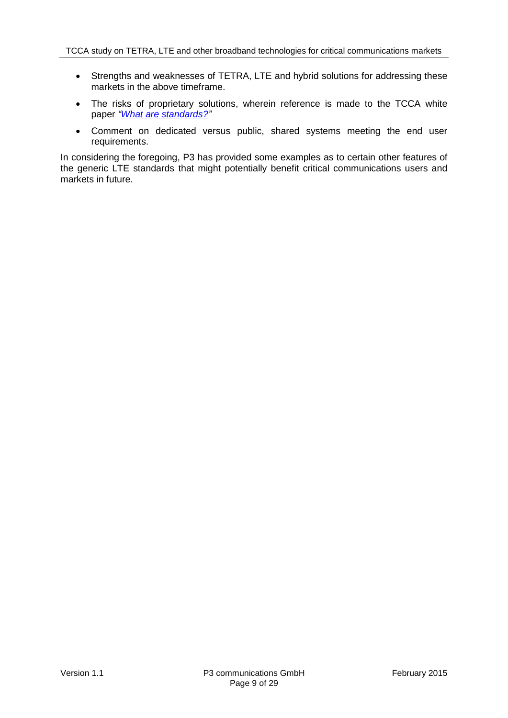- Strengths and weaknesses of TETRA, LTE and hybrid solutions for addressing these markets in the above timeframe.
- The risks of proprietary solutions, wherein reference is made to the TCCA white paper *["What are standards?"](http://www.tandcca.com/Library/Documents/Broadband/What%20are%20standards%20v1%2002.pdf?)*
- Comment on dedicated versus public, shared systems meeting the end user requirements.

In considering the foregoing, P3 has provided some examples as to certain other features of the generic LTE standards that might potentially benefit critical communications users and markets in future.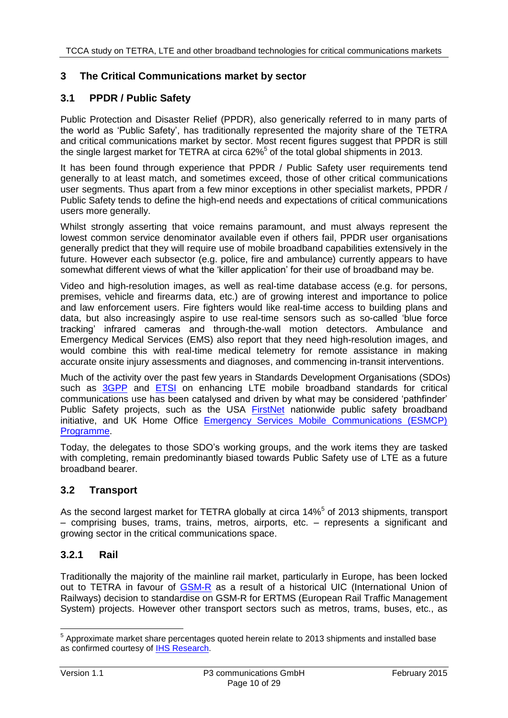## **3 The Critical Communications market by sector**

## **3.1 PPDR / Public Safety**

Public Protection and Disaster Relief (PPDR), also generically referred to in many parts of the world as 'Public Safety', has traditionally represented the majority share of the TETRA and critical communications market by sector. Most recent figures suggest that PPDR is still the single largest market for TETRA at circa 62%<sup>5</sup> of the total global shipments in 2013.

<span id="page-9-0"></span>It has been found through experience that PPDR / Public Safety user requirements tend generally to at least match, and sometimes exceed, those of other critical communications user segments. Thus apart from a few minor exceptions in other specialist markets, PPDR / Public Safety tends to define the high-end needs and expectations of critical communications users more generally.

Whilst strongly asserting that voice remains paramount, and must always represent the lowest common service denominator available even if others fail, PPDR user organisations generally predict that they will require use of mobile broadband capabilities extensively in the future. However each subsector (e.g. police, fire and ambulance) currently appears to have somewhat different views of what the 'killer application' for their use of broadband may be.

Video and high-resolution images, as well as real-time database access (e.g. for persons, premises, vehicle and firearms data, etc.) are of growing interest and importance to police and law enforcement users. Fire fighters would like real-time access to building plans and data, but also increasingly aspire to use real-time sensors such as so-called 'blue force tracking' infrared cameras and through-the-wall motion detectors. Ambulance and Emergency Medical Services (EMS) also report that they need high-resolution images, and would combine this with real-time medical telemetry for remote assistance in making accurate onsite injury assessments and diagnoses, and commencing in-transit interventions.

Much of the activity over the past few years in Standards Development Organisations (SDOs) such as [3GPP](http://www.3gpp.org/) and [ETSI](http://www.etsi.org/) on enhancing LTE mobile broadband standards for critical communications use has been catalysed and driven by what may be considered 'pathfinder' Public Safety projects, such as the USA [FirstNet](http://www.firstnet.gov/) nationwide public safety broadband initiative, and UK Home Office [Emergency Services Mobile Communications \(ESMCP\)](https://www.gov.uk/government/publications/the-emergency-services-mobile-communications-programme)  [Programme.](https://www.gov.uk/government/publications/the-emergency-services-mobile-communications-programme)

Today, the delegates to those SDO's working groups, and the work items they are tasked with completing, remain predominantly biased towards Public Safety use of LTE as a future broadband bearer.

#### **3.2 Transport**

As the second largest market for TETRA globally at circa 14[%](#page-9-0)<sup>5</sup> of 2013 shipments, transport – comprising buses, trams, trains, metros, airports, etc. – represents a significant and growing sector in the critical communications space.

#### <span id="page-9-1"></span>**3.2.1 Rail**

Traditionally the majority of the mainline rail market, particularly in Europe, has been locked out to TETRA in favour of [GSM-R](http://gsmr-info.com/) as a result of a historical UIC (International Union of Railways) decision to standardise on GSM-R for ERTMS (European Rail Traffic Management System) projects. However other transport sectors such as metros, trams, buses, etc., as

 $\overline{a}$  $<sup>5</sup>$  Approximate market share percentages quoted herein relate to 2013 shipments and installed base</sup> as confirmed courtesy of [IHS Research.](https://technology.ihs.com/Search?f=260:135123)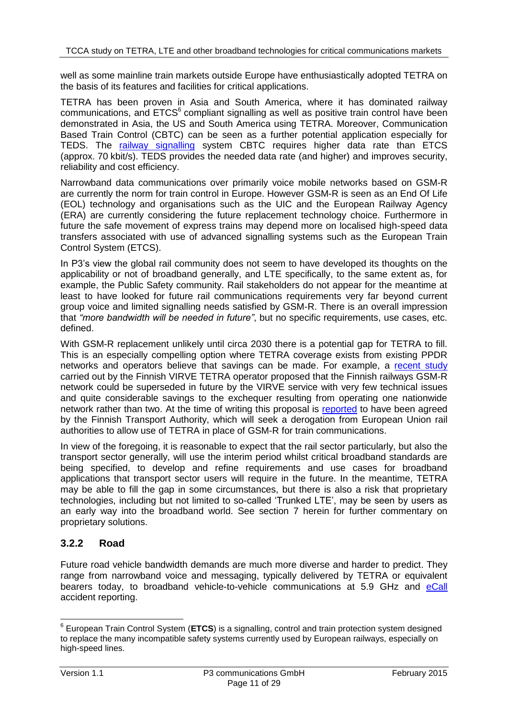well as some mainline train markets outside Europe have enthusiastically adopted TETRA on the basis of its features and facilities for critical applications.

TETRA has been proven in Asia and South America, where it has dominated railway communications, and  $ETCS<sup>6</sup>$  compliant signalling as well as positive train control have been demonstrated in Asia, the US and South America using TETRA. Moreover, Communication Based Train Control (CBTC) can be seen as a further potential application especially for TEDS. The [railway signalling](http://en.wikipedia.org/wiki/Railway_signalling) system CBTC requires higher data rate than ETCS (approx. 70 kbit/s). TEDS provides the needed data rate (and higher) and improves security, reliability and cost efficiency.

Narrowband data communications over primarily voice mobile networks based on GSM-R are currently the norm for train control in Europe. However GSM-R is seen as an End Of Life (EOL) technology and organisations such as the UIC and the European Railway Agency (ERA) are currently considering the future replacement technology choice. Furthermore in future the safe movement of express trains may depend more on localised high-speed data transfers associated with use of advanced signalling systems such as the European Train Control System (ETCS).

In P3's view the global rail community does not seem to have developed its thoughts on the applicability or not of broadband generally, and LTE specifically, to the same extent as, for example, the Public Safety community. Rail stakeholders do not appear for the meantime at least to have looked for future rail communications requirements very far beyond current group voice and limited signalling needs satisfied by GSM-R. There is an overall impression that *"more bandwidth will be needed in future"*, but no specific requirements, use cases, etc. defined.

With GSM-R replacement unlikely until circa 2030 there is a potential gap for TETRA to fill. This is an especially compelling option where TETRA coverage exists from existing PPDR networks and operators believe that savings can be made. For example, a [recent study](http://www.tandcca.com/ceoblog/2014/May/Transportation-Group) carried out by the Finnish VIRVE TETRA operator proposed that the Finnish railways GSM-R network could be superseded in future by the VIRVE service with very few technical issues and quite considerable savings to the exchequer resulting from operating one nationwide network rather than two. At the time of writing this proposal is [reported](http://www.lvm.fi/tiedote/4429882/virve-junaliikenteen-radiojarjestelmaksi) to have been agreed by the Finnish Transport Authority, which will seek a derogation from European Union rail authorities to allow use of TETRA in place of GSM-R for train communications.

In view of the foregoing, it is reasonable to expect that the rail sector particularly, but also the transport sector generally, will use the interim period whilst critical broadband standards are being specified, to develop and refine requirements and use cases for broadband applications that transport sector users will require in the future. In the meantime, TETRA may be able to fill the gap in some circumstances, but there is also a risk that proprietary technologies, including but not limited to so-called 'Trunked LTE', may be seen by users as an early way into the broadband world. See section [7](#page-21-0) herein for further commentary on proprietary solutions.

## **3.2.2 Road**

Future road vehicle bandwidth demands are much more diverse and harder to predict. They range from narrowband voice and messaging, typically delivered by TETRA or equivalent bearers today, to broadband vehicle-to-vehicle communications at 5.9 GHz and [eCall](http://ec.europa.eu/digital-agenda/en/ecall-time-saved-lives-saved) accident reporting.

 6 European Train Control System (**ETCS**) is a signalling, control and train protection system designed to replace the many incompatible safety systems currently used by European railways, especially on high-speed lines.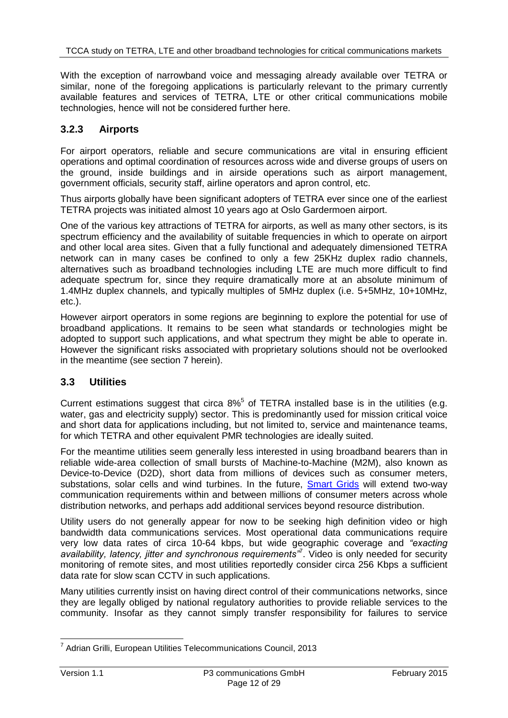With the exception of narrowband voice and messaging already available over TETRA or similar, none of the foregoing applications is particularly relevant to the primary currently available features and services of TETRA, LTE or other critical communications mobile technologies, hence will not be considered further here.

## **3.2.3 Airports**

For airport operators, reliable and secure communications are vital in ensuring efficient operations and optimal coordination of resources across wide and diverse groups of users on the ground, inside buildings and in airside operations such as airport management, government officials, security staff, airline operators and apron control, etc.

Thus airports globally have been significant adopters of TETRA ever since one of the earliest TETRA projects was initiated almost 10 years ago at Oslo Gardermoen airport.

One of the various key attractions of TETRA for airports, as well as many other sectors, is its spectrum efficiency and the availability of suitable frequencies in which to operate on airport and other local area sites. Given that a fully functional and adequately dimensioned TETRA network can in many cases be confined to only a few 25KHz duplex radio channels, alternatives such as broadband technologies including LTE are much more difficult to find adequate spectrum for, since they require dramatically more at an absolute minimum of 1.4MHz duplex channels, and typically multiples of 5MHz duplex (i.e. 5+5MHz, 10+10MHz, etc.).

However airport operators in some regions are beginning to explore the potential for use of broadband applications. It remains to be seen what standards or technologies might be adopted to support such applications, and what spectrum they might be able to operate in. However the significant risks associated with proprietary solutions should not be overlooked in the meantime (see section [7](#page-21-0) herein).

## <span id="page-11-0"></span>**3.3 Utilities**

Current estimations suggest that circa  $8\%$  $8\%$ <sup>5</sup> of TETRA installed base is in the utilities (e.g. water, gas and electricity supply) sector. This is predominantly used for mission critical voice and short data for applications including, but not limited to, service and maintenance teams, for which TETRA and other equivalent PMR technologies are ideally suited.

For the meantime utilities seem generally less interested in using broadband bearers than in reliable wide-area collection of small bursts of Machine-to-Machine (M2M), also known as Device-to-Device (D2D), short data from millions of devices such as consumer meters, substations, solar cells and wind turbines. In the future, [Smart Grids](http://www.smartgrids.eu/) will extend two-way communication requirements within and between millions of consumer meters across whole distribution networks, and perhaps add additional services beyond resource distribution.

Utility users do not generally appear for now to be seeking high definition video or high bandwidth data communications services. Most operational data communications require very low data rates of circa 10-64 kbps, but wide geographic coverage and *"exacting availability, latency, jitter and synchronous requirements"*<sup>7</sup> . Video is only needed for security monitoring of remote sites, and most utilities reportedly consider circa 256 Kbps a sufficient data rate for slow scan CCTV in such applications.

Many utilities currently insist on having direct control of their communications networks, since they are legally obliged by national regulatory authorities to provide reliable services to the community. Insofar as they cannot simply transfer responsibility for failures to service

\_\_\_\_\_\_\_\_\_\_\_\_\_\_\_\_\_\_\_\_\_\_\_\_\_\_\_\_\_\_\_\_\_\_\_<br><sup>7</sup> Adrian Grilli, European Utilities Telecommunications Council, 2013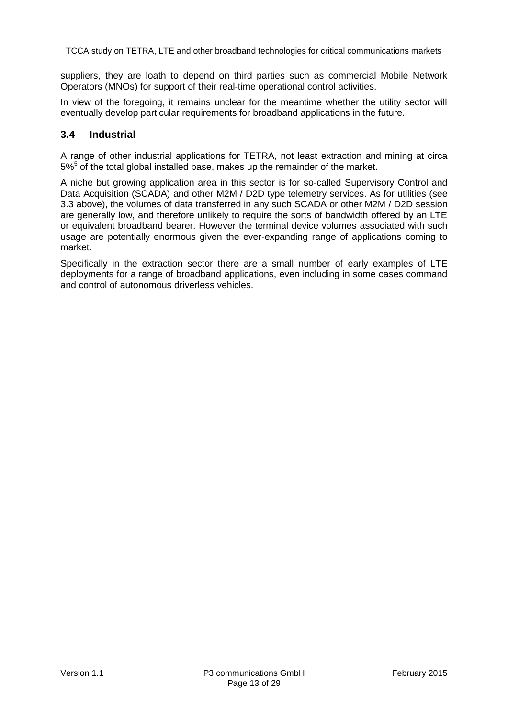suppliers, they are loath to depend on third parties such as commercial Mobile Network Operators (MNOs) for support of their real-time operational control activities.

In view of the foregoing, it remains unclear for the meantime whether the utility sector will eventually develop particular requirements for broadband applications in the future.

#### **3.4 Industrial**

A range of other industrial applications for TETRA, not least extraction and mining at circa  $5\%$  $5\%$ <sup>5</sup> of the total global installed base, makes up the remainder of the market.

A niche but growing application area in this sector is for so-called Supervisory Control and Data Acquisition (SCADA) and other M2M / D2D type telemetry services. As for utilities (see [3.3](#page-11-0) above), the volumes of data transferred in any such SCADA or other M2M / D2D session are generally low, and therefore unlikely to require the sorts of bandwidth offered by an LTE or equivalent broadband bearer. However the terminal device volumes associated with such usage are potentially enormous given the ever-expanding range of applications coming to market.

Specifically in the extraction sector there are a small number of early examples of LTE deployments for a range of broadband applications, even including in some cases command and control of autonomous driverless vehicles.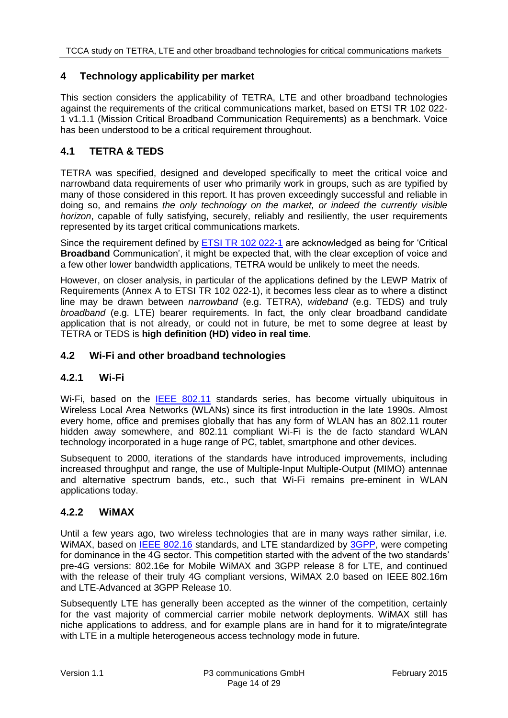#### **4 Technology applicability per market**

This section considers the applicability of TETRA, LTE and other broadband technologies against the requirements of the critical communications market, based on ETSI TR 102 022- 1 v1.1.1 (Mission Critical Broadband Communication Requirements) as a benchmark. Voice has been understood to be a critical requirement throughout.

## **4.1 TETRA & TEDS**

TETRA was specified, designed and developed specifically to meet the critical voice and narrowband data requirements of user who primarily work in groups, such as are typified by many of those considered in this report. It has proven exceedingly successful and reliable in doing so, and remains *the only technology on the market, or indeed the currently visible horizon*, capable of fully satisfying, securely, reliably and resiliently, the user requirements represented by its target critical communications markets.

Since the requirement defined by [ETSI TR 102 022-1](http://www.etsi.org/deliver/etsi_tr/102000_102099/10202201/01.01.01_60/tr_10202201v010101p.pdf) are acknowledged as being for 'Critical **Broadband** Communication', it might be expected that, with the clear exception of voice and a few other lower bandwidth applications, TETRA would be unlikely to meet the needs.

However, on closer analysis, in particular of the applications defined by the LEWP Matrix of Requirements (Annex A to ETSI TR 102 022-1), it becomes less clear as to where a distinct line may be drawn between *narrowband* (e.g. TETRA), *wideband* (e.g. TEDS) and truly *broadband* (e.g. LTE) bearer requirements. In fact, the only clear broadband candidate application that is not already, or could not in future, be met to some degree at least by TETRA or TEDS is **high definition (HD) video in real time**.

### **4.2 Wi-Fi and other broadband technologies**

#### **4.2.1 Wi-Fi**

Wi-Fi, based on the [IEEE 802.11](http://standards.ieee.org/about/get/802/802.11.html) standards series, has become virtually ubiquitous in Wireless Local Area Networks (WLANs) since its first introduction in the late 1990s. Almost every home, office and premises globally that has any form of WLAN has an 802.11 router hidden away somewhere, and 802.11 compliant Wi-Fi is the de facto standard WLAN technology incorporated in a huge range of PC, tablet, smartphone and other devices.

Subsequent to 2000, iterations of the standards have introduced improvements, including increased throughput and range, the use of Multiple-Input Multiple-Output (MIMO) antennae and alternative spectrum bands, etc., such that Wi-Fi remains pre-eminent in WLAN applications today.

#### **4.2.2 WiMAX**

Until a few years ago, two wireless technologies that are in many ways rather similar, i.e. WiMAX, based on **IEEE 802.16** standards, and LTE standardized by **3GPP**, were competing for dominance in the 4G sector. This competition started with the advent of the two standards' pre-4G versions: 802.16e for Mobile WiMAX and 3GPP release 8 for LTE, and continued with the release of their truly 4G compliant versions, WiMAX 2.0 based on IEEE 802.16m and LTE-Advanced at 3GPP Release 10.

Subsequently LTE has generally been accepted as the winner of the competition, certainly for the vast majority of commercial carrier mobile network deployments. WiMAX still has niche applications to address, and for example plans are in hand for it to migrate/integrate with LTE in a multiple heterogeneous access technology mode in future.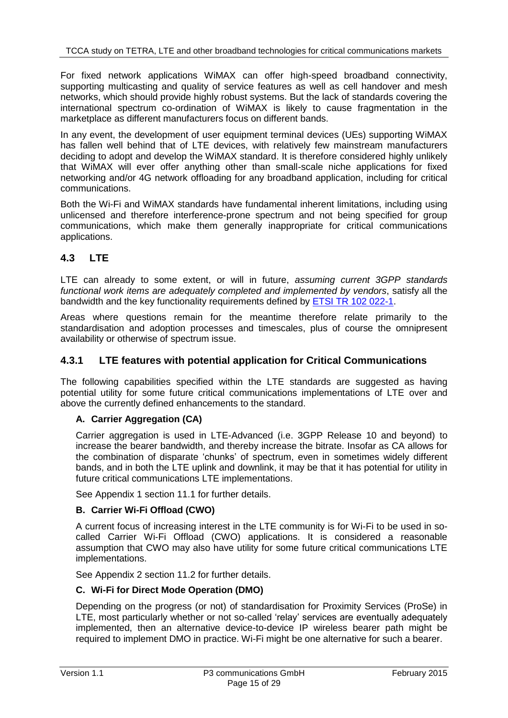For fixed network applications WiMAX can offer high-speed broadband connectivity, supporting multicasting and quality of service features as well as cell handover and mesh networks, which should provide highly robust systems. But the lack of standards covering the international spectrum co-ordination of WiMAX is likely to cause fragmentation in the marketplace as different manufacturers focus on different bands.

In any event, the development of user equipment terminal devices (UEs) supporting WiMAX has fallen well behind that of LTE devices, with relatively few mainstream manufacturers deciding to adopt and develop the WiMAX standard. It is therefore considered highly unlikely that WiMAX will ever offer anything other than small-scale niche applications for fixed networking and/or 4G network offloading for any broadband application, including for critical communications.

Both the Wi-Fi and WiMAX standards have fundamental inherent limitations, including using unlicensed and therefore interference-prone spectrum and not being specified for group communications, which make them generally inappropriate for critical communications applications.

## **4.3 LTE**

LTE can already to some extent, or will in future, *assuming current 3GPP standards functional work items are adequately completed and implemented by vendors*, satisfy all the bandwidth and the key functionality requirements defined by [ETSI TR 102 022-1.](http://www.etsi.org/deliver/etsi_tr/102000_102099/10202201/01.01.01_60/tr_10202201v010101p.pdf)

Areas where questions remain for the meantime therefore relate primarily to the standardisation and adoption processes and timescales, plus of course the omnipresent availability or otherwise of spectrum issue.

#### **4.3.1 LTE features with potential application for Critical Communications**

The following capabilities specified within the LTE standards are suggested as having potential utility for some future critical communications implementations of LTE over and above the currently defined enhancements to the standard.

#### **A. Carrier Aggregation (CA)**

Carrier aggregation is used in LTE-Advanced (i.e. 3GPP Release 10 and beyond) to increase the bearer bandwidth, and thereby increase the bitrate. Insofar as CA allows for the combination of disparate 'chunks' of spectrum, even in sometimes widely different bands, and in both the LTE uplink and downlink, it may be that it has potential for utility in future critical communications LTE implementations.

See Appendix 1 section [11.1](#page-26-0) for further details.

#### **B. Carrier Wi-Fi Offload (CWO)**

A current focus of increasing interest in the LTE community is for Wi-Fi to be used in socalled Carrier Wi-Fi Offload (CWO) applications. It is considered a reasonable assumption that CWO may also have utility for some future critical communications LTE implementations.

See Appendix 2 section [11.2](#page-27-0) for further details.

#### **C. Wi-Fi for Direct Mode Operation (DMO)**

Depending on the progress (or not) of standardisation for Proximity Services (ProSe) in LTE, most particularly whether or not so-called 'relay' services are eventually adequately implemented, then an alternative device-to-device IP wireless bearer path might be required to implement DMO in practice. Wi-Fi might be one alternative for such a bearer.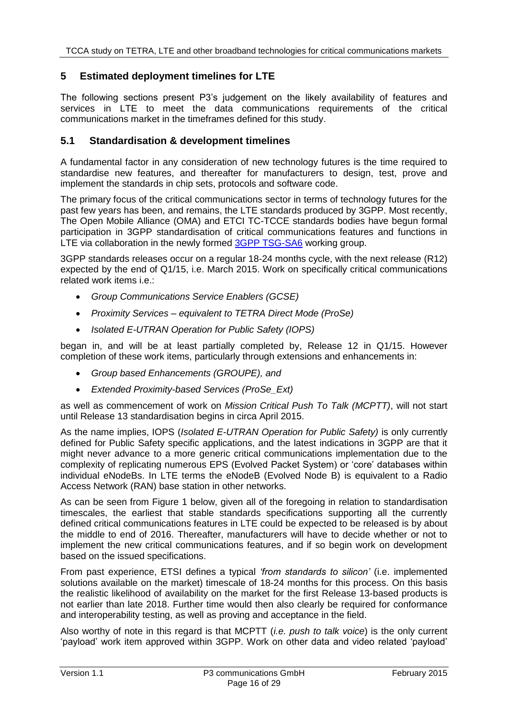## **5 Estimated deployment timelines for LTE**

The following sections present P3's judgement on the likely availability of features and services in LTE to meet the data communications requirements of the critical communications market in the timeframes defined for this study.

### <span id="page-15-0"></span>**5.1 Standardisation & development timelines**

A fundamental factor in any consideration of new technology futures is the time required to standardise new features, and thereafter for manufacturers to design, test, prove and implement the standards in chip sets, protocols and software code.

The primary focus of the critical communications sector in terms of technology futures for the past few years has been, and remains, the LTE standards produced by 3GPP. Most recently, The Open Mobile Alliance (OMA) and ETCI TC-TCCE standards bodies have begun formal participation in 3GPP standardisation of critical communications features and functions in LTE via collaboration in the newly formed [3GPP TSG-SA6](http://www.3gpp.org/specifications-groups/sa-plenary/sa6-mission-critical-applications) working group.

3GPP standards releases occur on a regular 18-24 months cycle, with the next release (R12) expected by the end of Q1/15, i.e. March 2015. Work on specifically critical communications related work items i.e.:

- *Group Communications Service Enablers (GCSE)*
- *Proximity Services – equivalent to TETRA Direct Mode (ProSe)*
- *Isolated E-UTRAN Operation for Public Safety (IOPS)*

began in, and will be at least partially completed by, Release 12 in Q1/15. However completion of these work items, particularly through extensions and enhancements in:

- *Group based Enhancements (GROUPE), and*
- *Extended Proximity-based Services (ProSe\_Ext)*

as well as commencement of work on *Mission Critical Push To Talk (MCPTT)*, will not start until Release 13 standardisation begins in circa April 2015.

As the name implies, IOPS (*Isolated E-UTRAN Operation for Public Safety)* is only currently defined for Public Safety specific applications, and the latest indications in 3GPP are that it might never advance to a more generic critical communications implementation due to the complexity of replicating numerous EPS (Evolved Packet System) or 'core' databases within individual eNodeBs. In LTE terms the eNodeB (Evolved Node B) is equivalent to a Radio Access Network (RAN) base station in other networks.

As can be seen from [Figure 1](#page-16-0) below, given all of the foregoing in relation to standardisation timescales, the earliest that stable standards specifications supporting all the currently defined critical communications features in LTE could be expected to be released is by about the middle to end of 2016. Thereafter, manufacturers will have to decide whether or not to implement the new critical communications features, and if so begin work on development based on the issued specifications.

From past experience, ETSI defines a typical *'from standards to silicon'* (i.e. implemented solutions available on the market) timescale of 18-24 months for this process. On this basis the realistic likelihood of availability on the market for the first Release 13-based products is not earlier than late 2018. Further time would then also clearly be required for conformance and interoperability testing, as well as proving and acceptance in the field.

Also worthy of note in this regard is that MCPTT (*i.e. push to talk voice*) is the only current 'payload' work item approved within 3GPP. Work on other data and video related 'payload'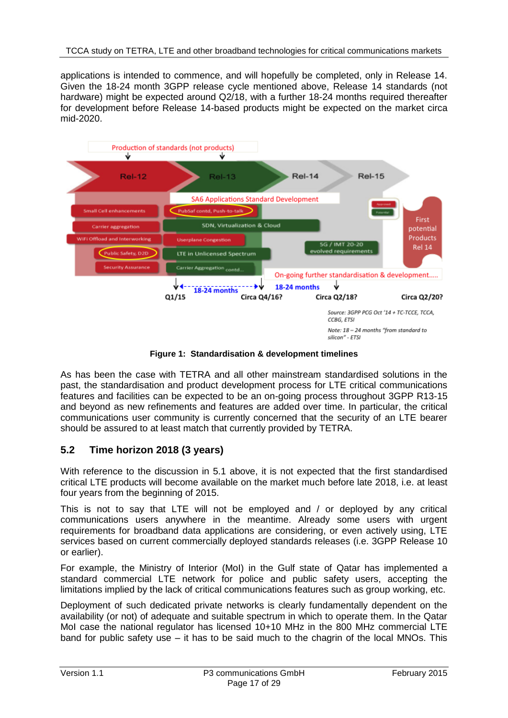applications is intended to commence, and will hopefully be completed, only in Release 14. Given the 18-24 month 3GPP release cycle mentioned above, Release 14 standards (not hardware) might be expected around Q2/18, with a further 18-24 months required thereafter for development before Release 14-based products might be expected on the market circa mid-2020.



**Figure 1: Standardisation & development timelines**

<span id="page-16-0"></span>As has been the case with TETRA and all other mainstream standardised solutions in the past, the standardisation and product development process for LTE critical communications features and facilities can be expected to be an on-going process throughout 3GPP R13-15 and beyond as new refinements and features are added over time. In particular, the critical communications user community is currently concerned that the security of an LTE bearer should be assured to at least match that currently provided by TETRA.

## **5.2 Time horizon 2018 (3 years)**

With reference to the discussion in [5.1](#page-15-0) above, it is not expected that the first standardised critical LTE products will become available on the market much before late 2018, i.e. at least four years from the beginning of 2015.

This is not to say that LTE will not be employed and / or deployed by any critical communications users anywhere in the meantime. Already some users with urgent requirements for broadband data applications are considering, or even actively using, LTE services based on current commercially deployed standards releases (i.e. 3GPP Release 10 or earlier).

For example, the Ministry of Interior (MoI) in the Gulf state of Qatar has implemented a standard commercial LTE network for police and public safety users, accepting the limitations implied by the lack of critical communications features such as group working, etc.

Deployment of such dedicated private networks is clearly fundamentally dependent on the availability (or not) of adequate and suitable spectrum in which to operate them. In the Qatar MoI case the national regulator has licensed 10+10 MHz in the 800 MHz commercial LTE band for public safety use – it has to be said much to the chagrin of the local MNOs. This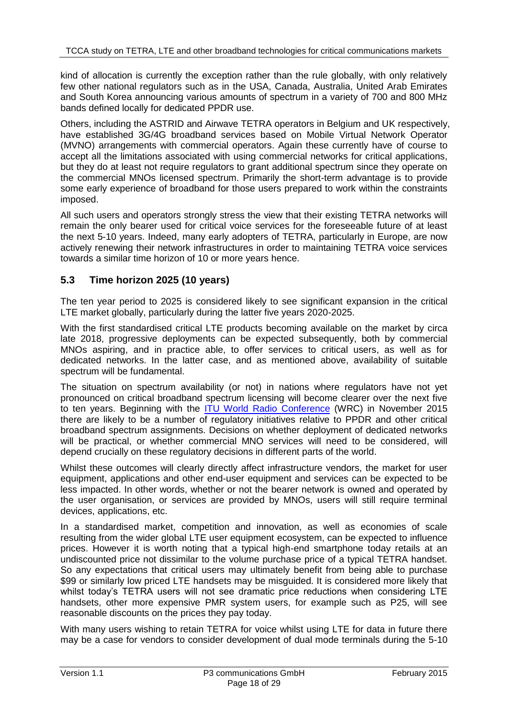kind of allocation is currently the exception rather than the rule globally, with only relatively few other national regulators such as in the USA, Canada, Australia, United Arab Emirates and South Korea announcing various amounts of spectrum in a variety of 700 and 800 MHz bands defined locally for dedicated PPDR use.

Others, including the ASTRID and Airwave TETRA operators in Belgium and UK respectively, have established 3G/4G broadband services based on Mobile Virtual Network Operator (MVNO) arrangements with commercial operators. Again these currently have of course to accept all the limitations associated with using commercial networks for critical applications, but they do at least not require regulators to grant additional spectrum since they operate on the commercial MNOs licensed spectrum. Primarily the short-term advantage is to provide some early experience of broadband for those users prepared to work within the constraints imposed.

All such users and operators strongly stress the view that their existing TETRA networks will remain the only bearer used for critical voice services for the foreseeable future of at least the next 5-10 years. Indeed, many early adopters of TETRA, particularly in Europe, are now actively renewing their network infrastructures in order to maintaining TETRA voice services towards a similar time horizon of 10 or more years hence.

## **5.3 Time horizon 2025 (10 years)**

The ten year period to 2025 is considered likely to see significant expansion in the critical LTE market globally, particularly during the latter five years 2020-2025.

With the first standardised critical LTE products becoming available on the market by circa late 2018, progressive deployments can be expected subsequently, both by commercial MNOs aspiring, and in practice able, to offer services to critical users, as well as for dedicated networks. In the latter case, and as mentioned above, availability of suitable spectrum will be fundamental.

The situation on spectrum availability (or not) in nations where regulators have not yet pronounced on critical broadband spectrum licensing will become clearer over the next five to ten years. Beginning with the [ITU World Radio Conference](http://www.itu.int/en/ITU-R/conferences/wrc/2015/Pages/default.aspx) (WRC) in November 2015 there are likely to be a number of regulatory initiatives relative to PPDR and other critical broadband spectrum assignments. Decisions on whether deployment of dedicated networks will be practical, or whether commercial MNO services will need to be considered, will depend crucially on these regulatory decisions in different parts of the world.

Whilst these outcomes will clearly directly affect infrastructure vendors, the market for user equipment, applications and other end-user equipment and services can be expected to be less impacted. In other words, whether or not the bearer network is owned and operated by the user organisation, or services are provided by MNOs, users will still require terminal devices, applications, etc.

In a standardised market, competition and innovation, as well as economies of scale resulting from the wider global LTE user equipment ecosystem, can be expected to influence prices. However it is worth noting that a typical high-end smartphone today retails at an undiscounted price not dissimilar to the volume purchase price of a typical TETRA handset. So any expectations that critical users may ultimately benefit from being able to purchase \$99 or similarly low priced LTE handsets may be misguided. It is considered more likely that whilst today's TETRA users will not see dramatic price reductions when considering LTE handsets, other more expensive PMR system users, for example such as P25, will see reasonable discounts on the prices they pay today.

With many users wishing to retain TETRA for voice whilst using LTE for data in future there may be a case for vendors to consider development of dual mode terminals during the 5-10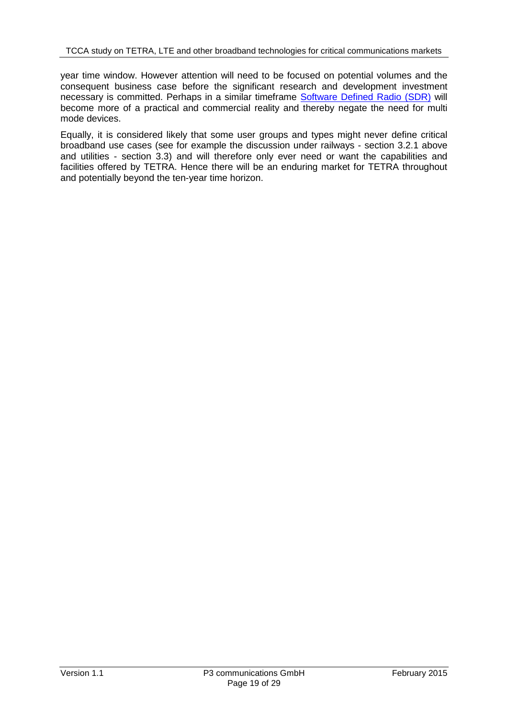year time window. However attention will need to be focused on potential volumes and the consequent business case before the significant research and development investment necessary is committed. Perhaps in a similar timeframe [Software Defined Radio \(SDR\)](http://en.wikipedia.org/wiki/Software-defined_radio) will become more of a practical and commercial reality and thereby negate the need for multi mode devices.

Equally, it is considered likely that some user groups and types might never define critical broadband use cases (see for example the discussion under railways - section [3.2.1](#page-9-1) above and utilities - section [3.3\)](#page-11-0) and will therefore only ever need or want the capabilities and facilities offered by TETRA. Hence there will be an enduring market for TETRA throughout and potentially beyond the ten-year time horizon.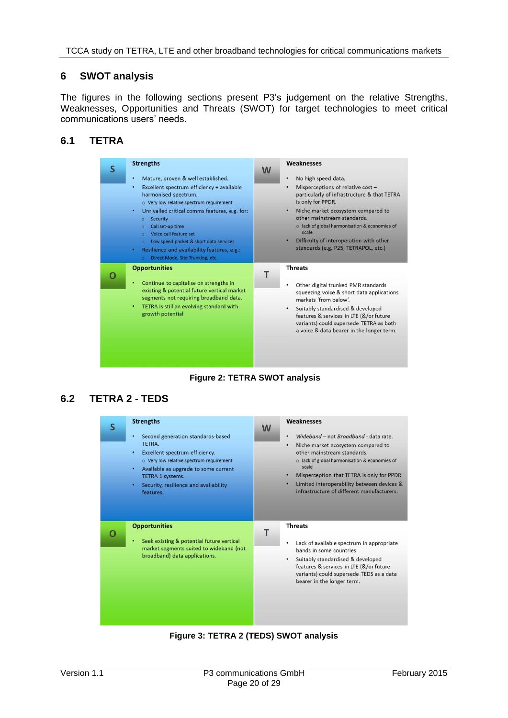## **6 SWOT analysis**

The figures in the following sections present P3's judgement on the relative Strengths, Weaknesses, Opportunities and Threats (SWOT) for target technologies to meet critical communications users' needs.

## **6.1 TETRA**



**Figure 2: TETRA SWOT analysis**

## **6.2 TETRA 2 - TEDS**

| <b>Strengths</b><br>Second generation standards-based<br>٠<br>TETRA.<br>Excellent spectrum efficiency.<br>٠<br>o Very low relative spectrum requirement<br>Available as upgrade to some current<br>٠<br><b>TETRA 1 systems.</b><br>Security, resilience and availability<br>٠<br>features. | W | Weaknesses<br>Wideband - not Broadband - data rate.<br>$\bullet$<br>Niche market ecosystem compared to<br>$\bullet$<br>other mainstream standards.<br>o lack of global harmonisation & economies of<br>scale<br>Misperception that TETRA is only for PPDR.<br>Limited interoperability between devices &<br>infrastructure of different manufacturers. |
|--------------------------------------------------------------------------------------------------------------------------------------------------------------------------------------------------------------------------------------------------------------------------------------------|---|--------------------------------------------------------------------------------------------------------------------------------------------------------------------------------------------------------------------------------------------------------------------------------------------------------------------------------------------------------|
| <b>Opportunities</b><br>Seek existing & potential future vertical<br>٠<br>market segments suited to wideband (not<br>broadband) data applications.                                                                                                                                         |   | <b>Threats</b><br>Lack of available spectrum in appropriate<br>bands in some countries.<br>Suitably standardised & developed<br>٠<br>features & services in LTE (&/or future<br>variants) could supersede TEDS as a data<br>bearer in the longer term.                                                                                                 |

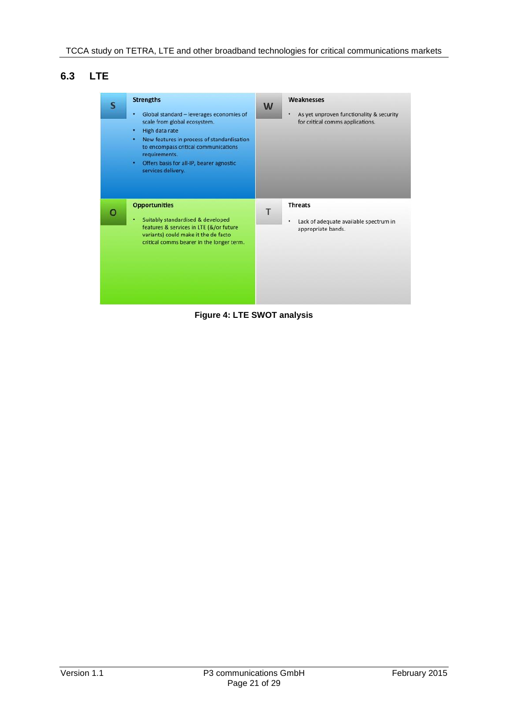# **6.3 LTE**

| S | <b>Strengths</b><br>Global standard - leverages economies of<br>٠<br>scale from global ecosystem.<br>High data rate<br>New features in process of standardisation<br>$\bullet$ .<br>to encompass critical communications<br>requirements.<br>Offers basis for all-IP, bearer agnostic<br>٠<br>services delivery. | W | Weaknesses<br>As yet unproven functionality & security<br>٠<br>for critical comms applications. |
|---|------------------------------------------------------------------------------------------------------------------------------------------------------------------------------------------------------------------------------------------------------------------------------------------------------------------|---|-------------------------------------------------------------------------------------------------|
|   | <b>Opportunities</b><br>Suitably standardised & developed<br>$\bullet$ :<br>features & services in LTE (&/or future<br>variants) could make it the de facto<br>critical comms bearer in the longer term.                                                                                                         | Т | <b>Threats</b><br>Lack of adequate available spectrum in<br>٠<br>appropriate bands.             |

**Figure 4: LTE SWOT analysis**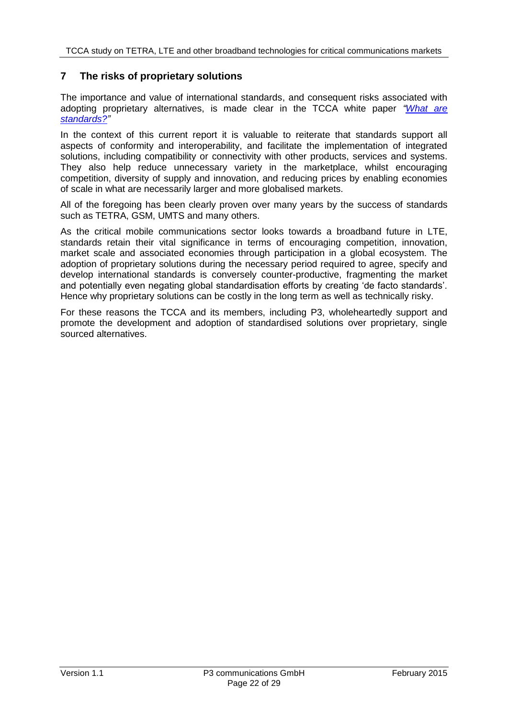### <span id="page-21-0"></span>**7 The risks of proprietary solutions**

The importance and value of international standards, and consequent risks associated with adopting proprietary alternatives, is made clear in the TCCA white paper *["What are](http://www.tandcca.com/Library/Documents/Broadband/What%20are%20standards%20v1%2002.pdf?)  [standards?"](http://www.tandcca.com/Library/Documents/Broadband/What%20are%20standards%20v1%2002.pdf?)*

In the context of this current report it is valuable to reiterate that standards support all aspects of conformity and interoperability, and facilitate the implementation of integrated solutions, including compatibility or connectivity with other products, services and systems. They also help reduce unnecessary variety in the marketplace, whilst encouraging competition, diversity of supply and innovation, and reducing prices by enabling economies of scale in what are necessarily larger and more globalised markets.

All of the foregoing has been clearly proven over many years by the success of standards such as TETRA, GSM, UMTS and many others.

As the critical mobile communications sector looks towards a broadband future in LTE, standards retain their vital significance in terms of encouraging competition, innovation, market scale and associated economies through participation in a global ecosystem. The adoption of proprietary solutions during the necessary period required to agree, specify and develop international standards is conversely counter-productive, fragmenting the market and potentially even negating global standardisation efforts by creating 'de facto standards'. Hence why proprietary solutions can be costly in the long term as well as technically risky.

For these reasons the TCCA and its members, including P3, wholeheartedly support and promote the development and adoption of standardised solutions over proprietary, single sourced alternatives.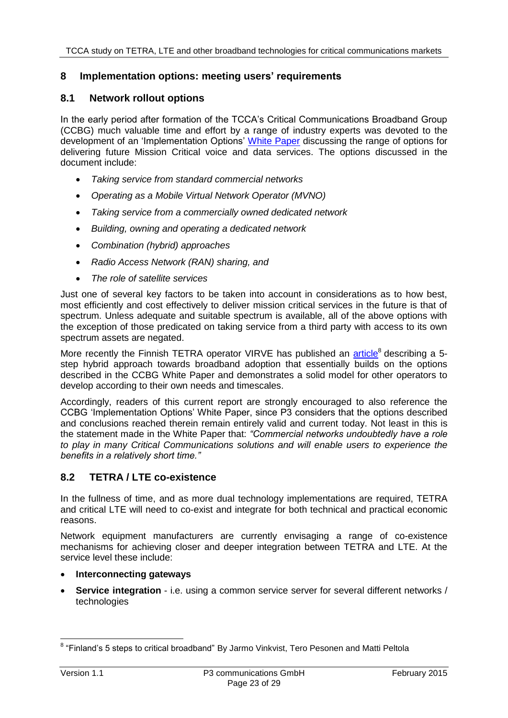### **8 Implementation options: meeting users' requirements**

#### **8.1 Network rollout options**

In the early period after formation of the TCCA's Critical Communications Broadband Group (CCBG) much valuable time and effort by a range of industry experts was devoted to the development of an 'Implementation Options' [White Paper](http://www.tandcca.com/Library/Documents/Broadband/MCMBB%20Delivery%20Options%20v1.0.pdf) discussing the range of options for delivering future Mission Critical voice and data services. The options discussed in the document include:

- *Taking service from standard commercial networks*
- *Operating as a Mobile Virtual Network Operator (MVNO)*
- *Taking service from a commercially owned dedicated network*
- *Building, owning and operating a dedicated network*
- *Combination (hybrid) approaches*
- *Radio Access Network (RAN) sharing, and*
- *The role of satellite services*

Just one of several key factors to be taken into account in considerations as to how best, most efficiently and cost effectively to deliver mission critical services in the future is that of spectrum. Unless adequate and suitable spectrum is available, all of the above options with the exception of those predicated on taking service from a third party with access to its own spectrum assets are negated.

More recently the Finnish TETRA operator VIRVE has published an *article*<sup>8</sup> describing a 5step hybrid approach towards broadband adoption that essentially builds on the options described in the CCBG White Paper and demonstrates a solid model for other operators to develop according to their own needs and timescales.

Accordingly, readers of this current report are strongly encouraged to also reference the CCBG 'Implementation Options' White Paper, since P3 considers that the options described and conclusions reached therein remain entirely valid and current today. Not least in this is the statement made in the White Paper that: *"Commercial networks undoubtedly have a role to play in many Critical Communications solutions and will enable users to experience the benefits in a relatively short time."*

#### **8.2 TETRA / LTE co-existence**

In the fullness of time, and as more dual technology implementations are required, TETRA and critical LTE will need to co-exist and integrate for both technical and practical economic reasons.

Network equipment manufacturers are currently envisaging a range of co-existence mechanisms for achieving closer and deeper integration between TETRA and LTE. At the service level these include:

- **Interconnecting gateways**
- **Service integration** i.e. using a common service server for several different networks / technologies

 8 "Finland's 5 steps to critical broadband" By Jarmo Vinkvist, Tero Pesonen and Matti Peltola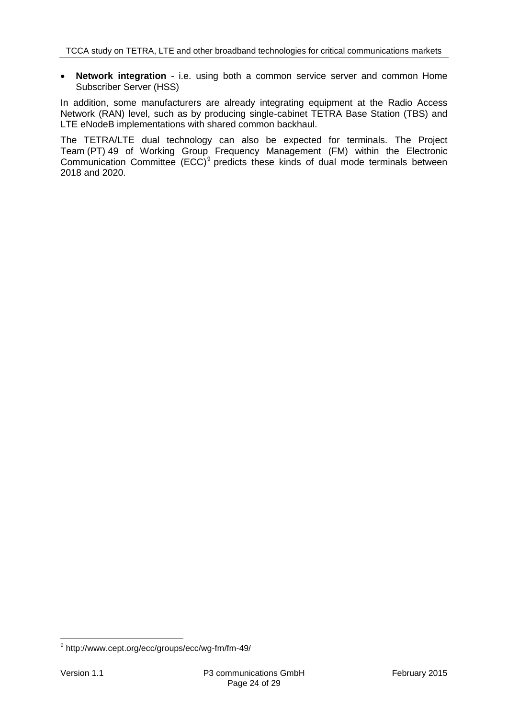**Network integration** - i.e. using both a common service server and common Home Subscriber Server (HSS)

In addition, some manufacturers are already integrating equipment at the Radio Access Network (RAN) level, such as by producing single-cabinet TETRA Base Station (TBS) and LTE eNodeB implementations with shared common backhaul.

The TETRA/LTE dual technology can also be expected for terminals. The Project Team (PT) 49 of Working Group Frequency Management (FM) within the Electronic Communication Committee  $(ECC)^9$  predicts these kinds of dual mode terminals between 2018 and 2020.

 9 http://www.cept.org/ecc/groups/ecc/wg-fm/fm-49/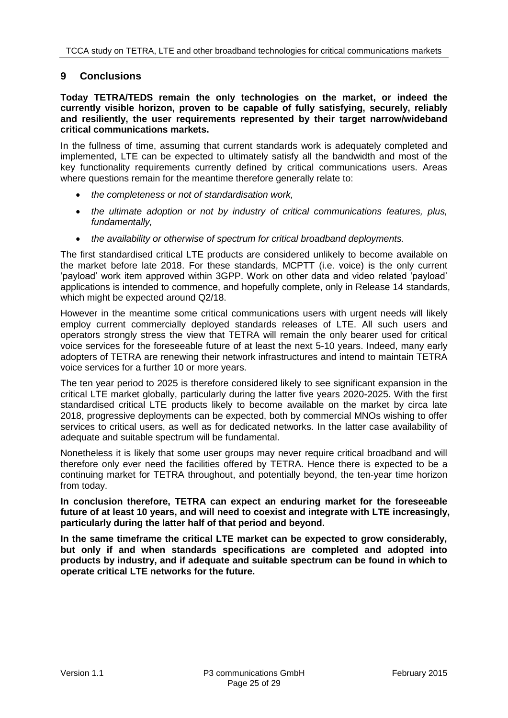### **9 Conclusions**

#### **Today TETRA/TEDS remain the only technologies on the market, or indeed the currently visible horizon, proven to be capable of fully satisfying, securely, reliably and resiliently, the user requirements represented by their target narrow/wideband critical communications markets.**

In the fullness of time, assuming that current standards work is adequately completed and implemented, LTE can be expected to ultimately satisfy all the bandwidth and most of the key functionality requirements currently defined by critical communications users. Areas where questions remain for the meantime therefore generally relate to:

- *the completeness or not of standardisation work,*
- *the ultimate adoption or not by industry of critical communications features, plus, fundamentally,*
- *the availability or otherwise of spectrum for critical broadband deployments.*

The first standardised critical LTE products are considered unlikely to become available on the market before late 2018. For these standards, MCPTT (i.e. voice) is the only current 'payload' work item approved within 3GPP. Work on other data and video related 'payload' applications is intended to commence, and hopefully complete, only in Release 14 standards, which might be expected around Q2/18.

However in the meantime some critical communications users with urgent needs will likely employ current commercially deployed standards releases of LTE. All such users and operators strongly stress the view that TETRA will remain the only bearer used for critical voice services for the foreseeable future of at least the next 5-10 years. Indeed, many early adopters of TETRA are renewing their network infrastructures and intend to maintain TETRA voice services for a further 10 or more years.

The ten year period to 2025 is therefore considered likely to see significant expansion in the critical LTE market globally, particularly during the latter five years 2020-2025. With the first standardised critical LTE products likely to become available on the market by circa late 2018, progressive deployments can be expected, both by commercial MNOs wishing to offer services to critical users, as well as for dedicated networks. In the latter case availability of adequate and suitable spectrum will be fundamental.

Nonetheless it is likely that some user groups may never require critical broadband and will therefore only ever need the facilities offered by TETRA. Hence there is expected to be a continuing market for TETRA throughout, and potentially beyond, the ten-year time horizon from today.

**In conclusion therefore, TETRA can expect an enduring market for the foreseeable future of at least 10 years, and will need to coexist and integrate with LTE increasingly, particularly during the latter half of that period and beyond.**

**In the same timeframe the critical LTE market can be expected to grow considerably, but only if and when standards specifications are completed and adopted into products by industry, and if adequate and suitable spectrum can be found in which to operate critical LTE networks for the future.**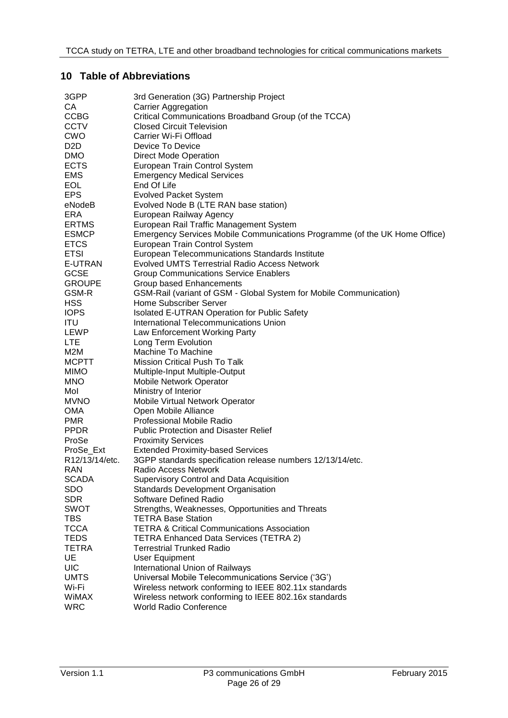#### **10 Table of Abbreviations**

| 3GPP             | 3rd Generation (3G) Partnership Project                                    |
|------------------|----------------------------------------------------------------------------|
| CA               | <b>Carrier Aggregation</b>                                                 |
| <b>CCBG</b>      | Critical Communications Broadband Group (of the TCCA)                      |
| <b>CCTV</b>      | <b>Closed Circuit Television</b>                                           |
| <b>CWO</b>       | Carrier Wi-Fi Offload                                                      |
| D <sub>2</sub> D | Device To Device                                                           |
| <b>DMO</b>       | <b>Direct Mode Operation</b>                                               |
| <b>ECTS</b>      | European Train Control System                                              |
| EMS              | <b>Emergency Medical Services</b>                                          |
| <b>EOL</b>       | End Of Life                                                                |
| <b>EPS</b>       | <b>Evolved Packet System</b>                                               |
|                  |                                                                            |
| eNodeB           | Evolved Node B (LTE RAN base station)                                      |
| ERA              | European Railway Agency                                                    |
| <b>ERTMS</b>     | European Rail Traffic Management System                                    |
| <b>ESMCP</b>     | Emergency Services Mobile Communications Programme (of the UK Home Office) |
| <b>ETCS</b>      | European Train Control System                                              |
| <b>ETSI</b>      | European Telecommunications Standards Institute                            |
| E-UTRAN          | <b>Evolved UMTS Terrestrial Radio Access Network</b>                       |
| <b>GCSE</b>      | <b>Group Communications Service Enablers</b>                               |
| <b>GROUPE</b>    | Group based Enhancements                                                   |
| GSM-R            | GSM-Rail (variant of GSM - Global System for Mobile Communication)         |
| <b>HSS</b>       | Home Subscriber Server                                                     |
| <b>IOPS</b>      | Isolated E-UTRAN Operation for Public Safety                               |
| ITU              | International Telecommunications Union                                     |
| LEWP             | Law Enforcement Working Party                                              |
| <b>LTE</b>       | Long Term Evolution                                                        |
| M2M              | Machine To Machine                                                         |
| <b>MCPTT</b>     | <b>Mission Critical Push To Talk</b>                                       |
| <b>MIMO</b>      | Multiple-Input Multiple-Output                                             |
| <b>MNO</b>       | <b>Mobile Network Operator</b>                                             |
| Mol              | Ministry of Interior                                                       |
| <b>MVNO</b>      | Mobile Virtual Network Operator                                            |
| <b>OMA</b>       | Open Mobile Alliance                                                       |
| <b>PMR</b>       | <b>Professional Mobile Radio</b>                                           |
| <b>PPDR</b>      | <b>Public Protection and Disaster Relief</b>                               |
| ProSe            |                                                                            |
|                  | <b>Proximity Services</b>                                                  |
| ProSe_Ext        | <b>Extended Proximity-based Services</b>                                   |
| R12/13/14/etc.   | 3GPP standards specification release numbers 12/13/14/etc.                 |
| <b>RAN</b>       | Radio Access Network                                                       |
| <b>SCADA</b>     | Supervisory Control and Data Acquisition                                   |
| <b>SDO</b>       | <b>Standards Development Organisation</b>                                  |
| <b>SDR</b>       | <b>Software Defined Radio</b>                                              |
| <b>SWOT</b>      | Strengths, Weaknesses, Opportunities and Threats                           |
| <b>TBS</b>       | <b>TETRA Base Station</b>                                                  |
| <b>TCCA</b>      | <b>TETRA &amp; Critical Communications Association</b>                     |
| <b>TEDS</b>      | <b>TETRA Enhanced Data Services (TETRA 2)</b>                              |
| <b>TETRA</b>     | <b>Terrestrial Trunked Radio</b>                                           |
| UE               | <b>User Equipment</b>                                                      |
| <b>UIC</b>       | International Union of Railways                                            |
| <b>UMTS</b>      | Universal Mobile Telecommunications Service ('3G')                         |
| Wi-Fi            | Wireless network conforming to IEEE 802.11x standards                      |
| <b>WIMAX</b>     | Wireless network conforming to IEEE 802.16x standards                      |
| <b>WRC</b>       | <b>World Radio Conference</b>                                              |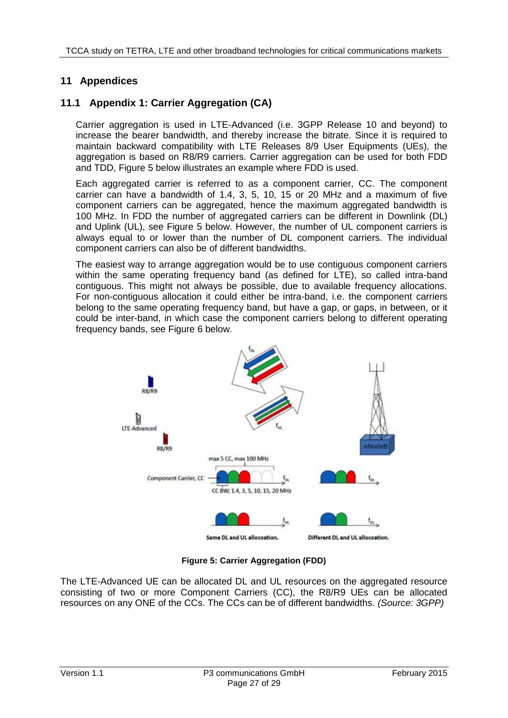## **11 Appendices**

## <span id="page-26-0"></span>**11.1 Appendix 1: Carrier Aggregation (CA)**

Carrier aggregation is used in LTE-Advanced (i.e. 3GPP Release 10 and beyond) to increase the bearer bandwidth, and thereby increase the bitrate. Since it is required to maintain backward compatibility with LTE Releases 8/9 User Equipments (UEs), the aggregation is based on R8/R9 carriers. Carrier aggregation can be used for both FDD and TDD, [Figure 5](#page-26-1) below illustrates an example where FDD is used.

Each aggregated carrier is referred to as a component carrier, CC. The component carrier can have a bandwidth of 1.4, 3, 5, 10, 15 or 20 MHz and a maximum of five component carriers can be aggregated, hence the maximum aggregated bandwidth is 100 MHz. In FDD the number of aggregated carriers can be different in Downlink (DL) and Uplink (UL), see [Figure 5](#page-26-1) below. However, the number of UL component carriers is always equal to or lower than the number of DL component carriers. The individual component carriers can also be of different bandwidths.

The easiest way to arrange aggregation would be to use contiguous component carriers within the same operating frequency band (as defined for LTE), so called intra-band contiguous. This might not always be possible, due to available frequency allocations. For non-contiguous allocation it could either be intra-band, i.e. the component carriers belong to the same operating frequency band, but have a gap, or gaps, in between, or it could be inter-band, in which case the component carriers belong to different operating frequency bands, see [Figure 6](#page-27-1) below.



**Figure 5: Carrier Aggregation (FDD)**

<span id="page-26-1"></span>The LTE-Advanced UE can be allocated DL and UL resources on the aggregated resource consisting of two or more Component Carriers (CC), the R8/R9 UEs can be allocated resources on any ONE of the CCs. The CCs can be of different bandwidths. *(Source: 3GPP)*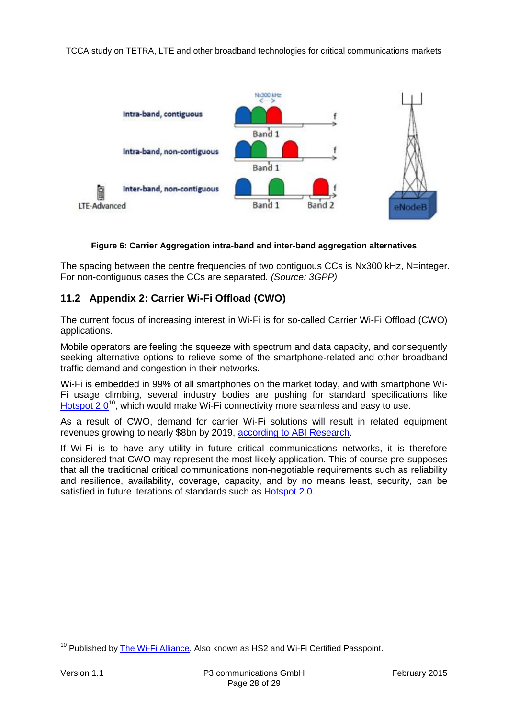

#### **Figure 6: Carrier Aggregation intra-band and inter-band aggregation alternatives**

<span id="page-27-1"></span>The spacing between the centre frequencies of two contiguous CCs is Nx300 kHz. N=integer. For non-contiguous cases the CCs are separated. *(Source: 3GPP)*

## <span id="page-27-0"></span>**11.2 Appendix 2: Carrier Wi-Fi Offload (CWO)**

The current focus of increasing interest in Wi-Fi is for so-called Carrier Wi-Fi Offload (CWO) applications.

Mobile operators are feeling the squeeze with spectrum and data capacity, and consequently seeking alternative options to relieve some of the smartphone-related and other broadband traffic demand and congestion in their networks.

Wi-Fi is embedded in 99% of all smartphones on the market today, and with smartphone Wi-Fi usage climbing, several industry bodies are pushing for standard specifications like [Hotspot 2.0](https://www.wi-fi.org/hotspot-20-release-1-technical-specification-package-v100)<sup>10</sup>, which would make Wi-Fi connectivity more seamless and easy to use.

As a result of CWO, demand for carrier Wi-Fi solutions will result in related equipment revenues growing to nearly \$8bn by 2019, [according to ABI Research.](https://www.abiresearch.com/press/carrier-wi-fi-to-hit-us8b-revenues-as-cisco-and-ru)

If Wi-Fi is to have any utility in future critical communications networks, it is therefore considered that CWO may represent the most likely application. This of course pre-supposes that all the traditional critical communications non-negotiable requirements such as reliability and resilience, availability, coverage, capacity, and by no means least, security, can be satisfied in future iterations of standards such as [Hotspot 2.0.](https://www.wi-fi.org/hotspot-20-release-1-technical-specification-package-v100)

 $\overline{a}$ <sup>10</sup> Published by <u>The Wi-Fi Alliance</u>. Also known as HS2 and Wi-Fi Certified Passpoint.